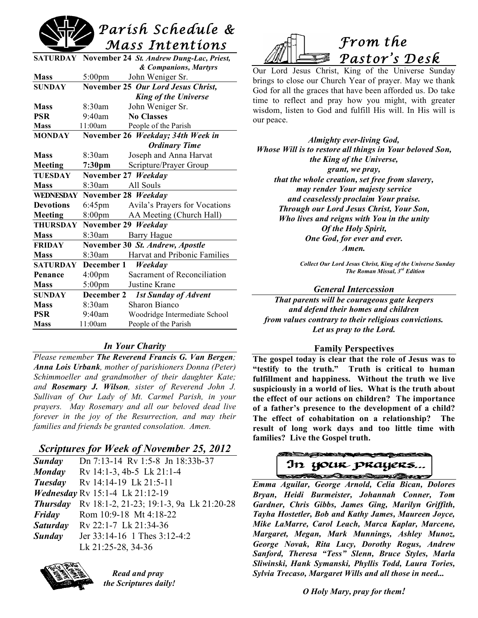

|                  |                     | SATURDAY November 24 St. Andrew Dung-Lac, Priest, |
|------------------|---------------------|---------------------------------------------------|
|                  |                     | & Companions, Martyrs                             |
| <b>Mass</b>      | $5:00 \text{pm}$    | John Weniger Sr.                                  |
| <b>SUNDAY</b>    |                     | November 25 Our Lord Jesus Christ,                |
|                  |                     | <b>King of the Universe</b>                       |
| <b>Mass</b>      | 8:30am              | John Weniger Sr.                                  |
| <b>PSR</b>       | $9:40$ am           | <b>No Classes</b>                                 |
| <b>Mass</b>      | 11:00am             | People of the Parish                              |
| <b>MONDAY</b>    |                     | November 26 Weekday; 34th Week in                 |
|                  |                     | <b>Ordinary Time</b>                              |
| <b>Mass</b>      | 8:30am              | Joseph and Anna Harvat                            |
| <b>Meeting</b>   | 7:30 <sub>pm</sub>  | Scripture/Prayer Group                            |
| TUESDAY          |                     | November 27 Weekday                               |
| <b>Mass</b>      | $8:30$ am           | All Souls                                         |
| <b>WEDNESDAY</b> | November 28 Weekday |                                                   |
| <b>Devotions</b> | $6:45 \text{pm}$    | Avila's Prayers for Vocations                     |
| Meeting          | 8:00 <sub>pm</sub>  | AA Meeting (Church Hall)                          |
| <b>THURSDAY</b>  |                     | November 29 Weekday                               |
| <b>Mass</b>      | $8:30$ am           | <b>Barry Hague</b>                                |
| <b>FRIDAY</b>    |                     | November 30 St. Andrew, Apostle                   |
| <b>Mass</b>      | 8:30am              | <b>Harvat and Pribonic Families</b>               |
| <b>SATURDAY</b>  | December 1          | Weekday                                           |
| Penance          | $4:00 \text{pm}$    | Sacrament of Reconciliation                       |
| <b>Mass</b>      | $5:00 \text{pm}$    | Justine Krane                                     |
| <b>SUNDAY</b>    | December 2          | <b>1st Sunday of Advent</b>                       |
| <b>Mass</b>      | 8:30am              | <b>Sharon Bianco</b>                              |
| <b>PSR</b>       | 9:40am              | Woodridge Intermediate School                     |
| <b>Mass</b>      | 11:00am             | People of the Parish                              |

# *In Your Charity*

*Please remember The Reverend Francis G. Van Bergen; Anna Lois Urbank, mother of parishioners Donna (Peter) Schimmoeller and grandmother of their daughter Kate; and Rosemary J. Wilson, sister of Reverend John J. Sullivan of Our Lady of Mt. Carmel Parish, in your prayers. May Rosemary and all our beloved dead live forever in the joy of the Resurrection, and may their families and friends be granted consolation. Amen.*

# *Scriptures for Week of November 25, 2012*

| Sunday          | Dn 7:13-14 Rv 1:5-8 Jn 18:33b-37         |
|-----------------|------------------------------------------|
| <b>Monday</b>   | Rv 14:1-3, 4b-5 Lk 21:1-4                |
| Tuesday         | Rv 14:14-19 Lk 21:5-11                   |
|                 | <b>Wednesday Rv 15:1-4 Lk 21:12-19</b>   |
| <b>Thursday</b> | Rv 18:1-2, 21-23; 19:1-3, 9a Lk 21:20-28 |
| Friday          | Rom 10:9-18 Mt 4:18-22                   |
| <b>Saturday</b> | Rv 22:1-7 Lk 21:34-36                    |
| Sunday          | Jer 33:14-16 1 Thes 3:12-4:2             |
|                 | Lk 21:25-28, 34-36                       |
|                 |                                          |



*Read and pray the Scriptures daily!*



Our Lord Jesus Christ, King of the Universe Sunday brings to close our Church Year of prayer. May we thank God for all the graces that have been afforded us. Do take time to reflect and pray how you might, with greater wisdom, listen to God and fulfill His will. In His will is our peace.

*Almighty ever-living God, Whose Will is to restore all things in Your beloved Son, the King of the Universe, grant, we pray, that the whole creation, set free from slavery, may render Your majesty service and ceaselessly proclaim Your praise. Through our Lord Jesus Christ, Your Son, Who lives and reigns with You in the unity Of the Holy Spirit, One God, for ever and ever. Amen.*

> *Collect Our Lord Jesus Christ, King of the Universe Sunday The Roman Missal, 3rd Edition*

#### *General Intercession*

*That parents will be courageous gate keepers and defend their homes and children from values contrary to their religious convictions. Let us pray to the Lord.*

#### **Family Perspectives**

**The gospel today is clear that the role of Jesus was to "testify to the truth." Truth is critical to human fulfillment and happiness. Without the truth we live suspiciously in a world of lies. What is the truth about the effect of our actions on children? The importance of a father's presence to the development of a child? The effect of cohabitation on a relationship? The result of long work days and too little time with families? Live the Gospel truth.**

AND MANAGEMENT WE In your prayers... and the Reserve for the real

*Emma Aguilar, George Arnold, Celia Bican, Dolores Bryan, Heidi Burmeister, Johannah Conner, Tom Gardner, Chris Gibbs, James Ging, Marilyn Griffith, Tayha Hostetler, Bob and Kathy James, Maureen Joyce, Mike LaMarre, Carol Leach, Marca Kaplar, Marcene, Margaret, Megan, Mark Munnings, Ashley Munoz, George Novak, Rita Lucy, Dorothy Rogus, Andrew Sanford, Theresa "Tess" Slenn, Bruce Styles, Marla Sliwinski, Hank Symanski, Phyllis Todd, Laura Tories, Sylvia Trecaso, Margaret Wills and all those in need...*

*O Holy Mary, pray for them!*